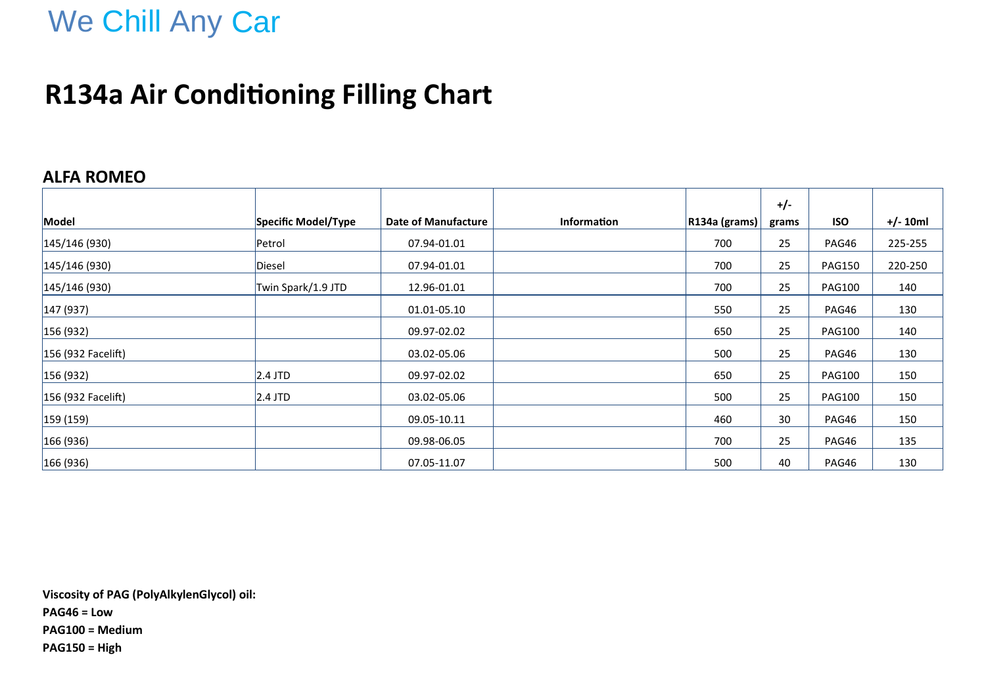## We Chill Any Car

### **R134a Air Conditioning Filling Chart**

#### **ALFA ROMEO**

|                    |                     |                     |             |                               | $+/-$ |               |            |
|--------------------|---------------------|---------------------|-------------|-------------------------------|-------|---------------|------------|
| Model              | Specific Model/Type | Date of Manufacture | Information | $\vert$ R134a (grams) $\vert$ | grams | <b>ISO</b>    | $+/- 10ml$ |
| 145/146(930)       | Petrol              | 07.94-01.01         |             | 700                           | 25    | PAG46         | 225-255    |
| 145/146(930)       | Diesel              | 07.94-01.01         |             | 700                           | 25    | <b>PAG150</b> | 220-250    |
| 145/146(930)       | Twin Spark/1.9 JTD  | 12.96-01.01         |             | 700                           | 25    | <b>PAG100</b> | 140        |
| 147(937)           |                     | 01.01-05.10         |             | 550                           | 25    | PAG46         | 130        |
| 156(932)           |                     | 09.97-02.02         |             | 650                           | 25    | <b>PAG100</b> | 140        |
| 156 (932 Facelift) |                     | 03.02-05.06         |             | 500                           | 25    | PAG46         | 130        |
| 156(932)           | $2.4$ JTD           | 09.97-02.02         |             | 650                           | 25    | <b>PAG100</b> | 150        |
| 156 (932 Facelift) | $2.4$ JTD           | 03.02-05.06         |             | 500                           | 25    | <b>PAG100</b> | 150        |
| 159(159)           |                     | 09.05-10.11         |             | 460                           | 30    | PAG46         | 150        |
| 166(936)           |                     | 09.98-06.05         |             | 700                           | 25    | PAG46         | 135        |
| 166(936)           |                     | 07.05-11.07         |             | 500                           | 40    | PAG46         | 130        |

**Viscosity of PAG (PolyAlkylenGlycol) oil: PAG46 = Low PAG100 = Medium PAG150 = High**